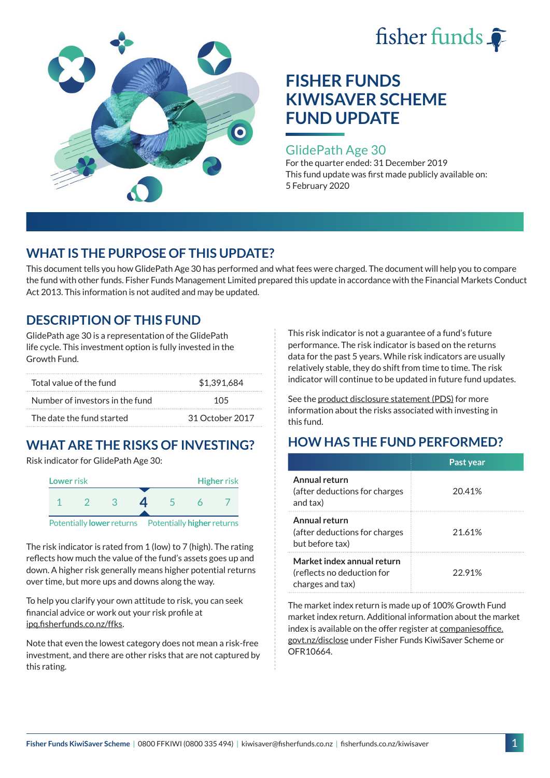



#### GlidePath Age 30

For the quarter ended: 31 December 2019 This fund update was first made publicly available on: 5 February 2020

### **WHAT IS THE PURPOSE OF THIS UPDATE?**

This document tells you how GlidePath Age 30 has performed and what fees were charged. The document will help you to compare the fund with other funds. Fisher Funds Management Limited prepared this update in accordance with the Financial Markets Conduct Act 2013. This information is not audited and may be updated.

### **DESCRIPTION OF THIS FUND**

GlidePath age 30 is a representation of the GlidePath life cycle. This investment option is fully invested in the Growth Fund.

| Total value of the fund         | \$1.391.684     |  |
|---------------------------------|-----------------|--|
| Number of investors in the fund | 105             |  |
| The date the fund started       | 31 October 2017 |  |

# **WHAT ARE THE RISKS OF INVESTING?**

Risk indicator for GlidePath Age 30:



The risk indicator is rated from 1 (low) to 7 (high). The rating reflects how much the value of the fund's assets goes up and down. A higher risk generally means higher potential returns over time, but more ups and downs along the way.

To help you clarify your own attitude to risk, you can seek financial advice or work out your risk profile at [ipq.fisherfunds.co.nz/ffks](https://ipq.fisherfunds.co.nz/ffks).

Note that even the lowest category does not mean a risk-free investment, and there are other risks that are not captured by this rating.

This risk indicator is not a guarantee of a fund's future performance. The risk indicator is based on the returns data for the past 5 years. While risk indicators are usually relatively stable, they do shift from time to time. The risk indicator will continue to be updated in future fund updates.

See the [product disclosure statement \(PDS\)](https://fisherfunds.co.nz/assets/PDS/Fisher-Funds-KiwiSaver-Scheme-PDS.pdf) for more information about the risks associated with investing in this fund.

## **HOW HAS THE FUND PERFORMED?**

|                                                                              | Past year |
|------------------------------------------------------------------------------|-----------|
| Annual return<br>(after deductions for charges<br>and tax)                   | 20.41%    |
| Annual return<br>(after deductions for charges<br>but before tax)            | 21.61%    |
| Market index annual return<br>(reflects no deduction for<br>charges and tax) | 22.91%    |

The market index return is made up of 100% Growth Fund market index return. Additional information about the market index is available on the offer register at [companiesoffice.](http://companiesoffice.govt.nz/disclose) [govt.nz/disclose](http://companiesoffice.govt.nz/disclose) under Fisher Funds KiwiSaver Scheme or OFR10664.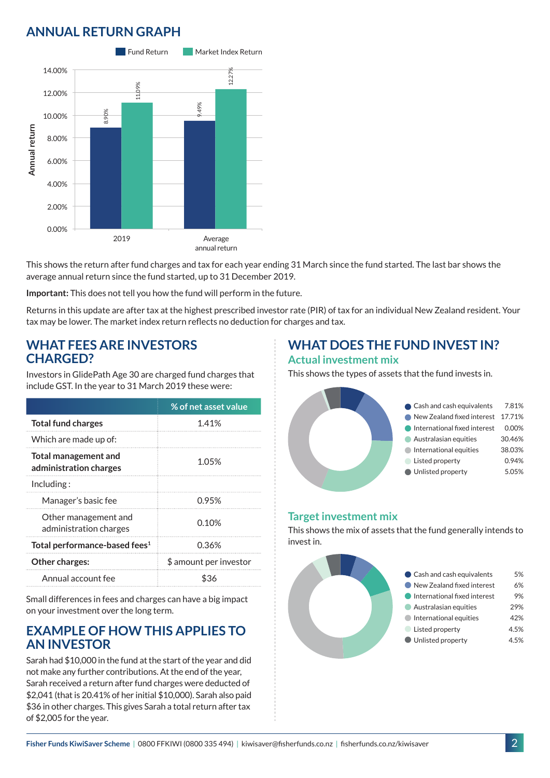## **ANNUAL RETURN GRAPH**



This shows the return after fund charges and tax for each year ending 31 March since the fund started. The last bar shows the average annual return since the fund started, up to 31 December 2019.

**Important:** This does not tell you how the fund will perform in the future.

Returns in this update are after tax at the highest prescribed investor rate (PIR) of tax for an individual New Zealand resident. Your tax may be lower. The market index return reflects no deduction for charges and tax.

#### **WHAT FEES ARE INVESTORS CHARGED?**

Investors in GlidePath Age 30 are charged fund charges that include GST. In the year to 31 March 2019 these were:

|                                                | % of net asset value   |
|------------------------------------------------|------------------------|
| <b>Total fund charges</b>                      | 1.41%                  |
| Which are made up of:                          |                        |
| Total management and<br>administration charges | 1.05%                  |
| Including:                                     |                        |
| Manager's basic fee                            | 0.95%                  |
| Other management and<br>administration charges | 0.10%                  |
| Total performance-based fees <sup>1</sup>      | 0.36%                  |
| Other charges:                                 | \$ amount per investor |
| Annual account fee                             | \$36                   |

Small differences in fees and charges can have a big impact on your investment over the long term.

#### **EXAMPLE OF HOW THIS APPLIES TO AN INVESTOR**

Sarah had \$10,000 in the fund at the start of the year and did not make any further contributions. At the end of the year, Sarah received a return after fund charges were deducted of \$2,041 (that is 20.41% of her initial \$10,000). Sarah also paid \$36 in other charges. This gives Sarah a total return after tax of \$2,005 for the year.

### **WHAT DOES THE FUND INVEST IN? Actual investment mix**

This shows the types of assets that the fund invests in.



#### **Target investment mix**

This shows the mix of assets that the fund generally intends to invest in.